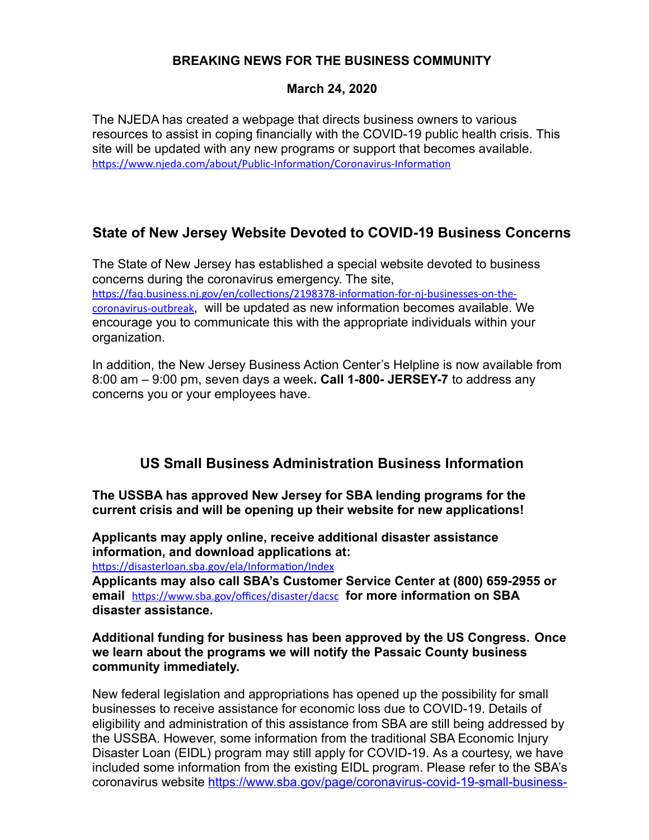## **BREAKING NEWS FOR THE BUSINESS COMMUNITY**

#### **March 24, 2020**

The NJEDA has created a webpage that directs business owners to various resources to assist in coping financially with the COVID-19 public health crisis. This site will be updated with any new programs or support that becomes available. <https://www.njeda.com/about/Public-Information/Coronavirus-Information>

## **State of New Jersey Website Devoted to COVID-19 Business Concerns**

The State of New Jersey has established a special website devoted to business concerns during the coronavirus emergency. The site, [https://faq.business.nj.gov/en/collections/2198378-information-for-nj-businesses-on-the](https://faq.business.nj.gov/en/collections/2198378-information-for-nj-businesses-on-the-coronavirus-outbreak)[coronavirus-outbreak](https://faq.business.nj.gov/en/collections/2198378-information-for-nj-businesses-on-the-coronavirus-outbreak), will be updated as new information becomes available. We encourage you to communicate this with the appropriate individuals within your organization.

In addition, the New Jersey Business Action Center's Helpline is now available from 8:00 am – 9:00 pm, seven days a week**. Call 1-800- JERSEY-7** to address any concerns you or your employees have.

## **US Small Business Administration Business Information**

**The USSBA has approved New Jersey for SBA lending programs for the current crisis and will be opening up their website for new applications!**

**Applicants may apply online, receive additional disaster assistance information, and download applications at:** 

<https://disasterloan.sba.gov/ela/Information/Index>

**Applicants may also call SBA's Customer Service Center at (800) 659-2955 or email** <https://www.sba.gov/offices/disaster/dacsc> **for more information on SBA disaster assistance.**

### **Additional funding for business has been approved by the US Congress. Once we learn about the programs we will notify the Passaic County business community immediately.**

New federal legislation and appropriations has opened up the possibility for small businesses to receive assistance for economic loss due to COVID-19. Details of eligibility and administration of this assistance from SBA are still being addressed by the USSBA. However, some information from the traditional SBA Economic Injury Disaster Loan (EIDL) program may still apply for COVID-19. As a courtesy, we have included some information from the existing EIDL program. Please refer to the SBA's coronavirus website [https://www.sba.gov/page/coronavirus-covid-19-small-business-](https://www.sba.gov/page/coronavirus-covid-19-small-business-guidance-loan-resources)